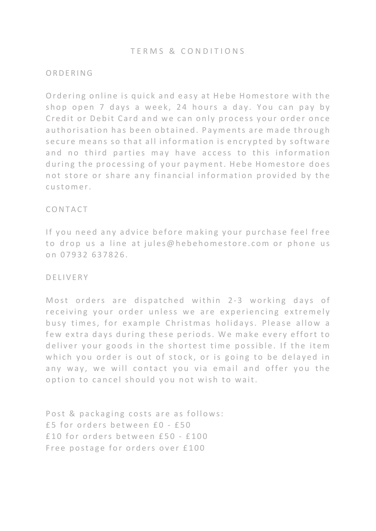## ORDERING

Ordering online is quick and easy at Hebe Homestore with the shop open 7 days a week, 24 hours a day. You can pay by Credit or Debit Card and we can only process your order once authorisation has been obtained. Payments are made through secure means so that all information is encrypted by software and no third parties may have access to this information during the processing of your payment. Hebe Homestore does not store or share any financial information provided by the customer.

# CONTACT

If you need any advice before making your purchase feel free to drop us a line at jules@hebehomestore.com or phone us on 07932 637826.

## DELIVERY

Most orders are dispatched within 2-3 working days of receiving your order unless we are experiencing extremely busy times, for example Christmas holidays. Please allow a few extra days during these periods. We make every effort to deliver your goods in the shortest time possible. If the item which you order is out of stock, or is going to be delayed in any way, we will contact you via email and offer you the option to cancel should you not wish to wait.

Post & packaging costs are as follows: £ 5 for orders between £0 - £50 £10 for orders between £50 - £100 Free postage for orders over £100